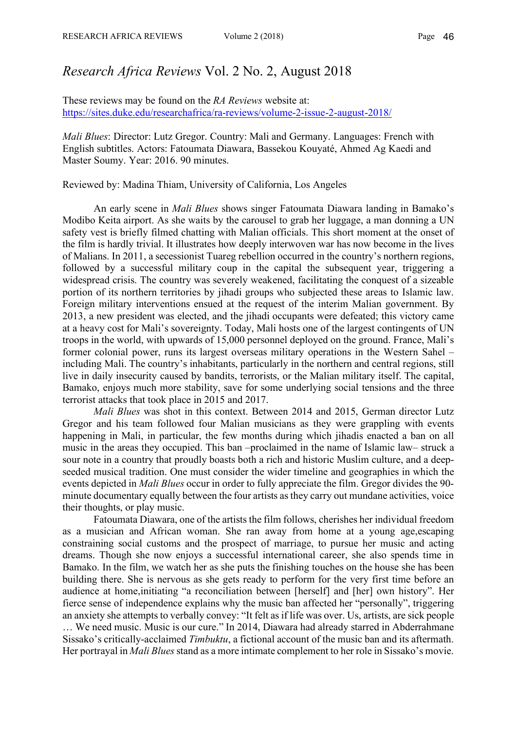## *Research Africa Reviews* Vol. 2 No. 2, August 2018

These reviews may be found on the *RA Reviews* website at: https://sites.duke.edu/researchafrica/ra-reviews/volume-2-issue-2-august-2018/

*Mali Blues*: Director: Lutz Gregor. Country: Mali and Germany. Languages: French with English subtitles. Actors: Fatoumata Diawara, Bassekou Kouyaté, Ahmed Ag Kaedi and Master Soumy. Year: 2016. 90 minutes.

Reviewed by: Madina Thiam, University of California, Los Angeles

An early scene in *Mali Blues* shows singer Fatoumata Diawara landing in Bamako's Modibo Keita airport. As she waits by the carousel to grab her luggage, a man donning a UN safety vest is briefly filmed chatting with Malian officials. This short moment at the onset of the film is hardly trivial. It illustrates how deeply interwoven war has now become in the lives of Malians. In 2011, a secessionist Tuareg rebellion occurred in the country's northern regions, followed by a successful military coup in the capital the subsequent year, triggering a widespread crisis. The country was severely weakened, facilitating the conquest of a sizeable portion of its northern territories by jihadi groups who subjected these areas to Islamic law. Foreign military interventions ensued at the request of the interim Malian government. By 2013, a new president was elected, and the jihadi occupants were defeated; this victory came at a heavy cost for Mali's sovereignty. Today, Mali hosts one of the largest contingents of UN troops in the world, with upwards of 15,000 personnel deployed on the ground. France, Mali's former colonial power, runs its largest overseas military operations in the Western Sahel – including Mali. The country's inhabitants, particularly in the northern and central regions, still live in daily insecurity caused by bandits, terrorists, or the Malian military itself. The capital, Bamako, enjoys much more stability, save for some underlying social tensions and the three terrorist attacks that took place in 2015 and 2017.

*Mali Blues* was shot in this context. Between 2014 and 2015, German director Lutz Gregor and his team followed four Malian musicians as they were grappling with events happening in Mali, in particular, the few months during which jihadis enacted a ban on all music in the areas they occupied. This ban –proclaimed in the name of Islamic law– struck a sour note in a country that proudly boasts both a rich and historic Muslim culture, and a deepseeded musical tradition. One must consider the wider timeline and geographies in which the events depicted in *Mali Blues* occur in order to fully appreciate the film. Gregor divides the 90 minute documentary equally between the four artists as they carry out mundane activities, voice their thoughts, or play music.

Fatoumata Diawara, one of the artists the film follows, cherishes her individual freedom as a musician and African woman. She ran away from home at a young age,escaping constraining social customs and the prospect of marriage, to pursue her music and acting dreams. Though she now enjoys a successful international career, she also spends time in Bamako. In the film, we watch her as she puts the finishing touches on the house she has been building there. She is nervous as she gets ready to perform for the very first time before an audience at home,initiating "a reconciliation between [herself] and [her] own history". Her fierce sense of independence explains why the music ban affected her "personally", triggering an anxiety she attempts to verbally convey: "It felt as if life was over. Us, artists, are sick people … We need music. Music is our cure." In 2014, Diawara had already starred in Abderrahmane Sissako's critically-acclaimed *Timbuktu*, a fictional account of the music ban and its aftermath. Her portrayal in *Mali Blues*stand as a more intimate complement to her role in Sissako's movie.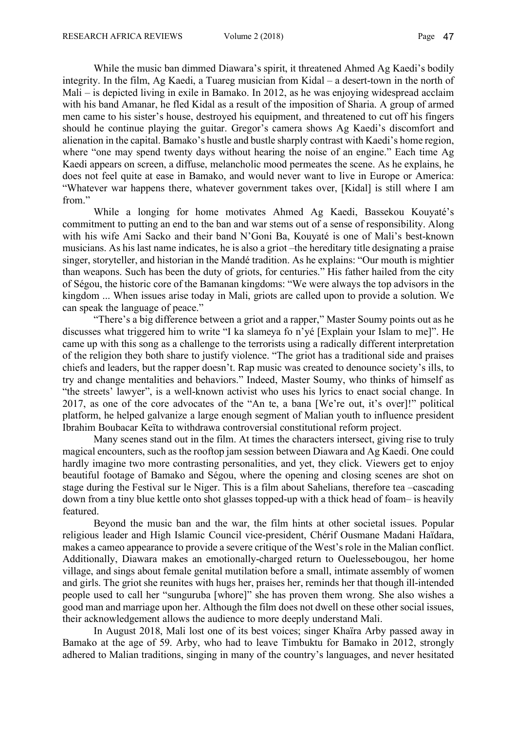While the music ban dimmed Diawara's spirit, it threatened Ahmed Ag Kaedi's bodily integrity. In the film, Ag Kaedi, a Tuareg musician from Kidal – a desert-town in the north of Mali – is depicted living in exile in Bamako. In 2012, as he was enjoying widespread acclaim with his band Amanar, he fled Kidal as a result of the imposition of Sharia. A group of armed men came to his sister's house, destroyed his equipment, and threatened to cut off his fingers should he continue playing the guitar. Gregor's camera shows Ag Kaedi's discomfort and alienation in the capital. Bamako's hustle and bustle sharply contrast with Kaedi's home region, where "one may spend twenty days without hearing the noise of an engine." Each time Ag Kaedi appears on screen, a diffuse, melancholic mood permeates the scene. As he explains, he does not feel quite at ease in Bamako, and would never want to live in Europe or America: "Whatever war happens there, whatever government takes over, [Kidal] is still where I am from."

While a longing for home motivates Ahmed Ag Kaedi, Bassekou Kouyaté's commitment to putting an end to the ban and war stems out of a sense of responsibility. Along with his wife Ami Sacko and their band N'Goni Ba, Kouyaté is one of Mali's best-known musicians. As his last name indicates, he is also a griot –the hereditary title designating a praise singer, storyteller, and historian in the Mandé tradition. As he explains: "Our mouth is mightier than weapons. Such has been the duty of griots, for centuries." His father hailed from the city of Ségou, the historic core of the Bamanan kingdoms: "We were always the top advisors in the kingdom ... When issues arise today in Mali, griots are called upon to provide a solution. We can speak the language of peace."

"There's a big difference between a griot and a rapper," Master Soumy points out as he discusses what triggered him to write "I ka slameya fo n'yé [Explain your Islam to me]". He came up with this song as a challenge to the terrorists using a radically different interpretation of the religion they both share to justify violence. "The griot has a traditional side and praises chiefs and leaders, but the rapper doesn't. Rap music was created to denounce society's ills, to try and change mentalities and behaviors." Indeed, Master Soumy, who thinks of himself as "the streets' lawyer", is a well-known activist who uses his lyrics to enact social change. In 2017, as one of the core advocates of the "An te, a bana [We're out, it's over]!" political platform, he helped galvanize a large enough segment of Malian youth to influence president Ibrahim Boubacar Keïta to withdrawa controversial constitutional reform project.

Many scenes stand out in the film. At times the characters intersect, giving rise to truly magical encounters, such as the rooftop jam session between Diawara and Ag Kaedi. One could hardly imagine two more contrasting personalities, and yet, they click. Viewers get to enjoy beautiful footage of Bamako and Ségou, where the opening and closing scenes are shot on stage during the Festival sur le Niger. This is a film about Sahelians, therefore tea –cascading down from a tiny blue kettle onto shot glasses topped-up with a thick head of foam– is heavily featured.

Beyond the music ban and the war, the film hints at other societal issues. Popular religious leader and High Islamic Council vice-president, Chérif Ousmane Madani Haïdara, makes a cameo appearance to provide a severe critique of the West's role in the Malian conflict. Additionally, Diawara makes an emotionally-charged return to Ouelessebougou, her home village, and sings about female genital mutilation before a small, intimate assembly of women and girls. The griot she reunites with hugs her, praises her, reminds her that though ill-intended people used to call her "sunguruba [whore]" she has proven them wrong. She also wishes a good man and marriage upon her. Although the film does not dwell on these other social issues, their acknowledgement allows the audience to more deeply understand Mali.

In August 2018, Mali lost one of its best voices; singer Khaïra Arby passed away in Bamako at the age of 59. Arby, who had to leave Timbuktu for Bamako in 2012, strongly adhered to Malian traditions, singing in many of the country's languages, and never hesitated